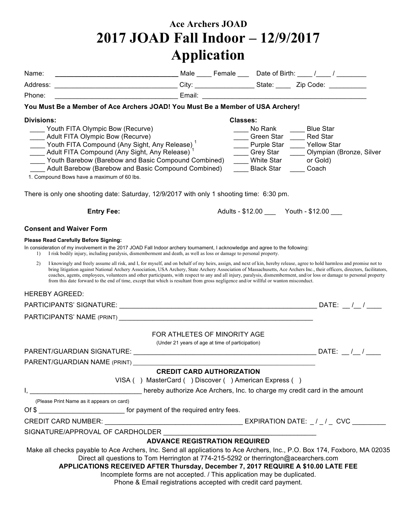## **Ace Archers JOAD 2017 JOAD Fall Indoor – 12/9/2017 Application**

| Name:             | ___________________________________Male _____ Female ____ Date of Birth: ____ /____ / ________                                                                                                                                                                                                                                                                                                                                                                                                                                                                                                                                                                            |                                                                                  |                 |                                                                                                                              |                                                                                      |           |
|-------------------|---------------------------------------------------------------------------------------------------------------------------------------------------------------------------------------------------------------------------------------------------------------------------------------------------------------------------------------------------------------------------------------------------------------------------------------------------------------------------------------------------------------------------------------------------------------------------------------------------------------------------------------------------------------------------|----------------------------------------------------------------------------------|-----------------|------------------------------------------------------------------------------------------------------------------------------|--------------------------------------------------------------------------------------|-----------|
| Address:          | _____________________________________City: __________________State: _______Zip Code: ______________                                                                                                                                                                                                                                                                                                                                                                                                                                                                                                                                                                       |                                                                                  |                 |                                                                                                                              |                                                                                      |           |
| Phone:            | <u> 1989 - Jan Jan Samuel Baraldi, politik američki politik († 1918)</u><br>1901 - Jan Samuel Baraldi, francuski politik († 1918)<br>1902 - Jan Samuel Baraldi, francuski politik († 1918)                                                                                                                                                                                                                                                                                                                                                                                                                                                                                |                                                                                  |                 |                                                                                                                              |                                                                                      |           |
|                   | You Must Be a Member of Ace Archers JOAD! You Must Be a Member of USA Archery!                                                                                                                                                                                                                                                                                                                                                                                                                                                                                                                                                                                            |                                                                                  |                 |                                                                                                                              |                                                                                      |           |
| <b>Divisions:</b> |                                                                                                                                                                                                                                                                                                                                                                                                                                                                                                                                                                                                                                                                           |                                                                                  | <b>Classes:</b> |                                                                                                                              |                                                                                      |           |
|                   | Youth FITA Olympic Bow (Recurve)<br>Adult FITA Olympic Bow (Recurve)<br>Touth FITA Compound (Any Sight, Any Release) <sup>1</sup><br><u>The Adult FITA Compound</u> (Any Sight, Any Release) <sup>1</sup><br>___ Youth Barebow (Barebow and Basic Compound Combined)<br>Adult Barebow (Barebow and Basic Compound Combined)<br>1. Compound Bows have a maximum of 60 lbs.                                                                                                                                                                                                                                                                                                 |                                                                                  |                 | No Rank<br>Green Star<br><u>__</u><br>____ Purple Star ____ Yellow Star<br>____ Grey Star<br>White Star<br><b>Black Star</b> | <b>Blue Star</b><br><b>Red Star</b><br>Olympian (Bronze, Silver<br>or Gold)<br>Coach |           |
|                   | There is only one shooting date: Saturday, 12/9/2017 with only 1 shooting time: 6:30 pm.                                                                                                                                                                                                                                                                                                                                                                                                                                                                                                                                                                                  |                                                                                  |                 |                                                                                                                              |                                                                                      |           |
|                   | <b>Entry Fee:</b>                                                                                                                                                                                                                                                                                                                                                                                                                                                                                                                                                                                                                                                         |                                                                                  |                 | Adults - \$12.00 ______ Youth - \$12.00 ____                                                                                 |                                                                                      |           |
|                   | <b>Consent and Waiver Form</b>                                                                                                                                                                                                                                                                                                                                                                                                                                                                                                                                                                                                                                            |                                                                                  |                 |                                                                                                                              |                                                                                      |           |
| $\left( \right)$  | <b>Please Read Carefully Before Signing:</b><br>In consideration of my involvement in the 2017 JOAD Fall Indoor archery tournament, I acknowledge and agree to the following:<br>I risk bodily injury, including paralysis, dismemberment and death, as well as loss or damage to personal property.                                                                                                                                                                                                                                                                                                                                                                      |                                                                                  |                 |                                                                                                                              |                                                                                      |           |
| (2)               | I knowingly and freely assume all risk, and I, for myself, and on behalf of my heirs, assign, and next of kin, hereby release, agree to hold harmless and promise not to<br>bring litigation against National Archery Association, USA Archery, State Archery Association of Massachusetts, Ace Archers Inc., their officers, directors, facilitators,<br>coaches, agents, employees, volunteers and other participants, with respect to any and all injury, paralysis, dismemberment, and/or loss or damage to personal property<br>from this date forward to the end of time, except that which is resultant from gross negligence and/or willful or wanton misconduct. |                                                                                  |                 |                                                                                                                              |                                                                                      |           |
|                   | <b>HEREBY AGREED:</b>                                                                                                                                                                                                                                                                                                                                                                                                                                                                                                                                                                                                                                                     |                                                                                  |                 |                                                                                                                              |                                                                                      |           |
|                   |                                                                                                                                                                                                                                                                                                                                                                                                                                                                                                                                                                                                                                                                           |                                                                                  |                 |                                                                                                                              |                                                                                      |           |
|                   | PARTICIPANTS' NAME (PRINT) LAND AND THE CONTROL CONTROL CONTROL CONTROL CONTROL CONTROL CONTROL CONTROL CONTROL CONTROL CONTROL CONTROL CONTROL CONTROL CONTROL CONTROL CONTROL CONTROL CONTROL CONTROL CONTROL CONTROL CONTRO                                                                                                                                                                                                                                                                                                                                                                                                                                            |                                                                                  |                 |                                                                                                                              |                                                                                      |           |
|                   |                                                                                                                                                                                                                                                                                                                                                                                                                                                                                                                                                                                                                                                                           | FOR ATHLETES OF MINORITY AGE<br>(Under 21 years of age at time of participation) |                 |                                                                                                                              |                                                                                      |           |
|                   |                                                                                                                                                                                                                                                                                                                                                                                                                                                                                                                                                                                                                                                                           |                                                                                  |                 |                                                                                                                              |                                                                                      | DATE: / / |
|                   | <b>PARENT/GUARDIAN NAME (PRINT)</b>                                                                                                                                                                                                                                                                                                                                                                                                                                                                                                                                                                                                                                       |                                                                                  |                 |                                                                                                                              |                                                                                      |           |
|                   |                                                                                                                                                                                                                                                                                                                                                                                                                                                                                                                                                                                                                                                                           | <b>CREDIT CARD AUTHORIZATION</b>                                                 |                 |                                                                                                                              |                                                                                      |           |
| Ι,                | VISA () MasterCard () Discover () American Express ()<br>hereby authorize Ace Archers, Inc. to charge my credit card in the amount                                                                                                                                                                                                                                                                                                                                                                                                                                                                                                                                        |                                                                                  |                 |                                                                                                                              |                                                                                      |           |
|                   | (Please Print Name as it appears on card)                                                                                                                                                                                                                                                                                                                                                                                                                                                                                                                                                                                                                                 |                                                                                  |                 |                                                                                                                              |                                                                                      |           |
|                   | Of \$                                                                                                                                                                                                                                                                                                                                                                                                                                                                                                                                                                                                                                                                     |                                                                                  |                 |                                                                                                                              |                                                                                      |           |
|                   |                                                                                                                                                                                                                                                                                                                                                                                                                                                                                                                                                                                                                                                                           |                                                                                  |                 |                                                                                                                              |                                                                                      |           |
|                   | SIGNATURE/APPROVAL OF CARDHOLDER                                                                                                                                                                                                                                                                                                                                                                                                                                                                                                                                                                                                                                          |                                                                                  |                 |                                                                                                                              |                                                                                      |           |
|                   |                                                                                                                                                                                                                                                                                                                                                                                                                                                                                                                                                                                                                                                                           | <b>ADVANCE REGISTRATION REQUIRED</b>                                             |                 |                                                                                                                              |                                                                                      |           |
|                   | Make all checks payable to Ace Archers, Inc. Send all applications to Ace Archers, Inc., P.O. Box 174, Foxboro, MA 02035<br>Direct all questions to Tom Herrington at 774-215-5292 or therrington@acearchers.com<br>APPLICATIONS RECEIVED AFTER Thursday, December 7, 2017 REQUIRE A \$10.00 LATE FEE<br>Incomplete forms are not accepted. / This application may be duplicated.<br>Phone & Email registrations accepted with credit card payment.                                                                                                                                                                                                                       |                                                                                  |                 |                                                                                                                              |                                                                                      |           |